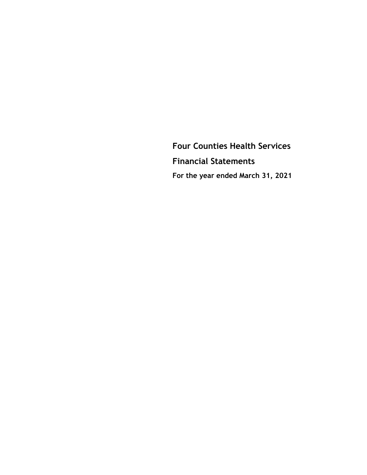**Four Counties Health Services Financial Statements For the year ended March 31, 2021**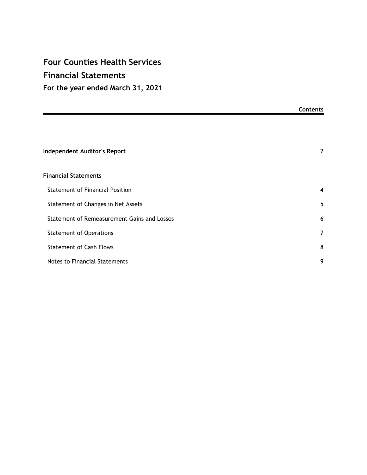**For the year ended March 31, 2021**

|                                             | <b>Contents</b> |
|---------------------------------------------|-----------------|
|                                             |                 |
| <b>Independent Auditor's Report</b>         | $\overline{2}$  |
| <b>Financial Statements</b>                 |                 |
| <b>Statement of Financial Position</b>      | 4               |
| Statement of Changes in Net Assets          | 5               |
| Statement of Remeasurement Gains and Losses | 6               |
| <b>Statement of Operations</b>              | 7               |
| <b>Statement of Cash Flows</b>              | 8               |
| Notes to Financial Statements               | 9               |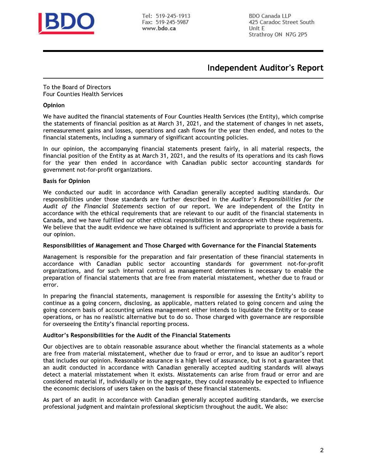

Tel: 519-245-1913 Fax: 519-245-5987 www.bdo.ca

**BDO Canada LLP** 425 Caradoc Street South Unit E Strathroy ON N7G 2P5

### **Independent Auditor's Report**

To the Board of Directors Four Counties Health Services

### Opinion

We have audited the financial statements of Four Counties Health Services (the Entity), which comprise the statements of financial position as at March 31, 2021, and the statement of changes in net assets, remeasurement gains and losses, operations and cash flows for the year then ended, and notes to the financial statements, including a summary of significant accounting policies.

In our opinion, the accompanying financial statements present fairly, in all material respects, the financial position of the Entity as at March 31, 2021, and the results of its operations and its cash flows for the year then ended in accordance with Canadian public sector accounting standards for government not-for-profit organizations.

### **Basis for Opinion**

We conducted our audit in accordance with Canadian generally accepted auditing standards. Our responsibilities under those standards are further described in the Auditor's Responsibilities for the Audit of the Financial Statements section of our report. We are independent of the Entity in accordance with the ethical requirements that are relevant to our audit of the financial statements in Canada, and we have fulfilled our other ethical responsibilities in accordance with these requirements. We believe that the audit evidence we have obtained is sufficient and appropriate to provide a basis for our opinion.

### Responsibilities of Management and Those Charged with Governance for the Financial Statements

Management is responsible for the preparation and fair presentation of these financial statements in accordance with Canadian public sector accounting standards for government not-for-profit organizations, and for such internal control as management determines is necessary to enable the preparation of financial statements that are free from material misstatement, whether due to fraud or error.

In preparing the financial statements, management is responsible for assessing the Entity's ability to continue as a going concern, disclosing, as applicable, matters related to going concern and using the going concern basis of accounting unless management either intends to liquidate the Entity or to cease operations, or has no realistic alternative but to do so. Those charged with governance are responsible for overseeing the Entity's financial reporting process.

### Auditor's Responsibilities for the Audit of the Financial Statements

Our objectives are to obtain reasonable assurance about whether the financial statements as a whole are free from material misstatement, whether due to fraud or error, and to issue an auditor's report that includes our opinion. Reasonable assurance is a high level of assurance, but is not a guarantee that an audit conducted in accordance with Canadian generally accepted auditing standards will always detect a material misstatement when it exists. Misstatements can arise from fraud or error and are considered material if, individually or in the aggregate, they could reasonably be expected to influence the economic decisions of users taken on the basis of these financial statements.

As part of an audit in accordance with Canadian generally accepted auditing standards, we exercise professional judgment and maintain professional skepticism throughout the audit. We also: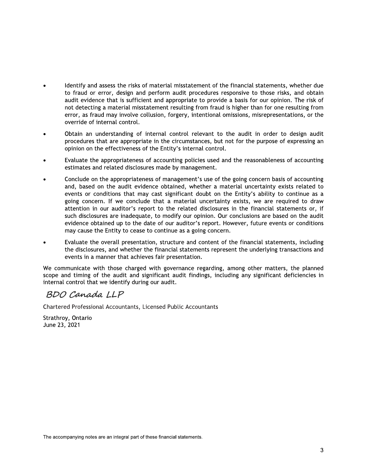- Identify and assess the risks of material misstatement of the financial statements, whether due to fraud or error, design and perform audit procedures responsive to those risks, and obtain audit evidence that is sufficient and appropriate to provide a basis for our opinion. The risk of not detecting a material misstatement resulting from fraud is higher than for one resulting from error, as fraud may involve collusion, forgery, intentional omissions, misrepresentations, or the override of internal control.
- Obtain an understanding of internal control relevant to the audit in order to design audit procedures that are appropriate in the circumstances, but not for the purpose of expressing an opinion on the effectiveness of the Entity's internal control.
- Evaluate the appropriateness of accounting policies used and the reasonableness of accounting estimates and related disclosures made by management.
- Conclude on the appropriateness of management's use of the going concern basis of accounting and, based on the audit evidence obtained, whether a material uncertainty exists related to events or conditions that may cast significant doubt on the Entity's ability to continue as a going concern. If we conclude that a material uncertainty exists, we are required to draw attention in our auditor's report to the related disclosures in the financial statements or, if such disclosures are inadequate, to modify our opinion. Our conclusions are based on the audit evidence obtained up to the date of our auditor's report. However, future events or conditions may cause the Entity to cease to continue as a going concern.
- Evaluate the overall presentation, structure and content of the financial statements, including the disclosures, and whether the financial statements represent the underlying transactions and events in a manner that achieves fair presentation.

We communicate with those charged with governance regarding, among other matters, the planned scope and timing of the audit and significant audit findings, including any significant deficiencies in internal control that we identify during our audit.

### BDO Canada LLP

Chartered Professional Accountants, Licensed Public Accountants

Strathroy, Ontario June 23, 2021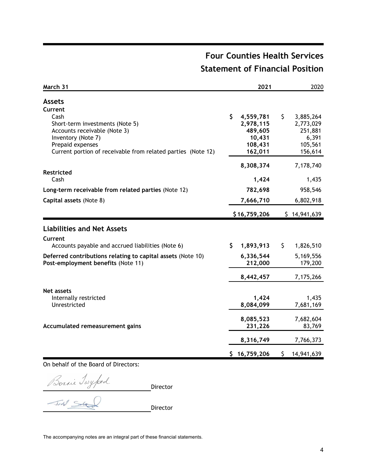# **Four Counties Health Services Statement of Financial Position**

| March 31                                                                                                                     | 2021                                                         | 2020                                                        |
|------------------------------------------------------------------------------------------------------------------------------|--------------------------------------------------------------|-------------------------------------------------------------|
| <b>Assets</b>                                                                                                                |                                                              |                                                             |
| Current<br>Cash<br>Short-term investments (Note 5)<br>Accounts receivable (Note 3)<br>Inventory (Note 7)<br>Prepaid expenses | \$<br>4,559,781<br>2,978,115<br>489,605<br>10,431<br>108,431 | \$<br>3,885,264<br>2,773,029<br>251,881<br>6,391<br>105,561 |
| Current portion of receivable from related parties (Note 12)                                                                 | 162,011                                                      | 156,614                                                     |
| <b>Restricted</b><br>Cash                                                                                                    | 8,308,374<br>1,424                                           | 7,178,740<br>1,435                                          |
| Long-term receivable from related parties (Note 12)                                                                          | 782,698                                                      | 958,546                                                     |
| Capital assets (Note 8)                                                                                                      | 7,666,710                                                    | 6,802,918                                                   |
|                                                                                                                              | \$16,759,206                                                 | \$14,941,639                                                |
| <b>Liabilities and Net Assets</b>                                                                                            |                                                              |                                                             |
| Current<br>Accounts payable and accrued liabilities (Note 6)                                                                 | \$<br>1,893,913                                              | \$<br>1,826,510                                             |
| Deferred contributions relating to capital assets (Note 10)<br>Post-employment benefits (Note 11)                            | 6,336,544<br>212,000                                         | 5,169,556<br>179,200                                        |
|                                                                                                                              | 8,442,457                                                    | 7,175,266                                                   |
| Net assets<br>Internally restricted<br>Unrestricted                                                                          | 1,424<br>8,084,099                                           | 1,435<br>7,681,169                                          |
| Accumulated remeasurement gains                                                                                              | 8,085,523<br>231,226                                         | 7,682,604<br>83,769                                         |
|                                                                                                                              | 8,316,749                                                    | 7,766,373                                                   |
|                                                                                                                              | \$16,759,206                                                 | \$<br>14,941,639                                            |

On behalf of the Board of Directors:

Bonnie Twyford

Director

Director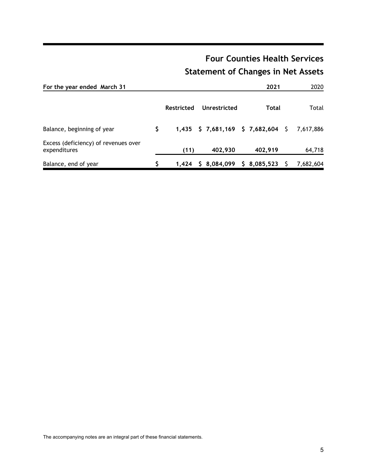# **Four Counties Health Services Statement of Changes in Net Assets**

| For the year ended March 31                          |   |                   |              | 2021                                         | 2020      |
|------------------------------------------------------|---|-------------------|--------------|----------------------------------------------|-----------|
|                                                      |   | <b>Restricted</b> | Unrestricted | <b>Total</b>                                 | Total     |
| Balance, beginning of year                           | S |                   |              | 1,435 \$ 7,681,169 \$ 7,682,604 \$ 7,617,886 |           |
| Excess (deficiency) of revenues over<br>expenditures |   | (11)              | 402,930      | 402,919                                      | 64,718    |
| Balance, end of year                                 |   | 1.424             | \$8,084,099  | \$8,085,523                                  | 7,682,604 |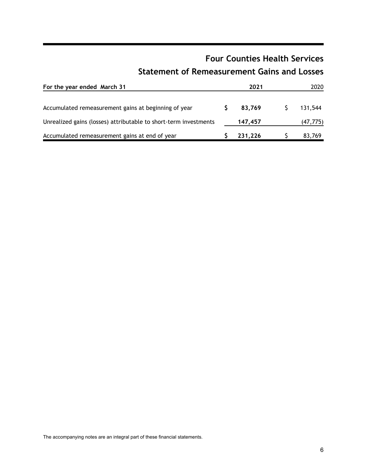# **Four Counties Health Services Statement of Remeasurement Gains and Losses**

| For the year ended March 31                                      | 2021    | 2020      |
|------------------------------------------------------------------|---------|-----------|
| Accumulated remeasurement gains at beginning of year             | 83.769  | 131,544   |
| Unrealized gains (losses) attributable to short-term investments | 147,457 | (47, 775) |
| Accumulated remeasurement gains at end of year                   | 231,226 | 83,769    |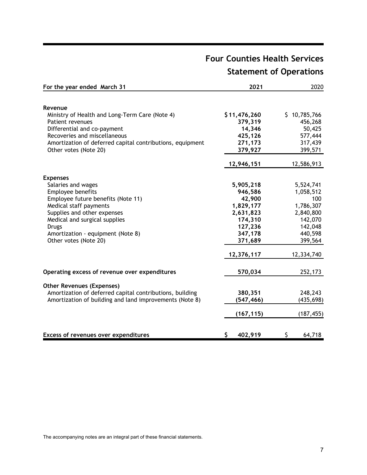| For the year ended March 31                               | 2021          | 2020         |
|-----------------------------------------------------------|---------------|--------------|
| Revenue                                                   |               |              |
| Ministry of Health and Long-Term Care (Note 4)            | \$11,476,260  | \$10,785,766 |
| Patient revenues                                          | 379,319       | 456,268      |
| Differential and co-payment                               | 14,346        | 50,425       |
| Recoveries and miscellaneous                              | 425,126       | 577,444      |
| Amortization of deferred capital contributions, equipment | 271,173       | 317,439      |
| Other votes (Note 20)                                     | 379,927       | 399,571      |
|                                                           | 12,946,151    | 12,586,913   |
| <b>Expenses</b>                                           |               |              |
| Salaries and wages                                        | 5,905,218     | 5,524,741    |
| Employee benefits                                         | 946,586       | 1,058,512    |
| Employee future benefits (Note 11)                        | 42,900        | 100          |
| Medical staff payments                                    | 1,829,177     | 1,786,307    |
| Supplies and other expenses                               | 2,631,823     | 2,840,800    |
| Medical and surgical supplies                             | 174,310       | 142,070      |
| <b>Drugs</b>                                              | 127,236       | 142,048      |
| Amortization - equipment (Note 8)                         | 347,178       | 440,598      |
| Other votes (Note 20)                                     | 371,689       | 399,564      |
|                                                           | 12,376,117    | 12,334,740   |
| Operating excess of revenue over expenditures             | 570,034       | 252,173      |
| <b>Other Revenues (Expenses)</b>                          |               |              |
| Amortization of deferred capital contributions, building  | 380,351       | 248,243      |
| Amortization of building and land improvements (Note 8)   | (547, 466)    | (435, 698)   |
|                                                           | (167, 115)    | (187, 455)   |
|                                                           |               |              |
| <b>Excess of revenues over expenditures</b>               | \$<br>402,919 | \$<br>64,718 |

# **Four Counties Health Services Statement of Operations**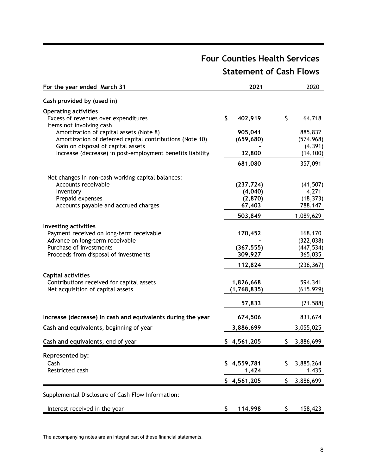| For the year ended March 31                                                                         | 2021            |     | 2020       |
|-----------------------------------------------------------------------------------------------------|-----------------|-----|------------|
| Cash provided by (used in)                                                                          |                 |     |            |
| <b>Operating activities</b>                                                                         |                 |     |            |
| Excess of revenues over expenditures                                                                | \$<br>402,919   | \$  | 64,718     |
| Items not involving cash                                                                            | 905,041         |     | 885,832    |
| Amortization of capital assets (Note 8)<br>Amortization of deferred capital contributions (Note 10) | (659, 680)      |     | (574, 968) |
| Gain on disposal of capital assets                                                                  |                 |     | (4, 391)   |
| Increase (decrease) in post-employment benefits liability                                           | 32,800          |     | (14, 100)  |
|                                                                                                     | 681,080         |     | 357,091    |
| Net changes in non-cash working capital balances:                                                   |                 |     |            |
| Accounts receivable                                                                                 | (237, 724)      |     | (41, 507)  |
| Inventory                                                                                           | (4,040)         |     | 4,271      |
| Prepaid expenses                                                                                    | (2,870)         |     | (18, 373)  |
| Accounts payable and accrued charges                                                                | 67,403          |     | 788,147    |
|                                                                                                     | 503,849         |     | 1,089,629  |
| <b>Investing activities</b>                                                                         |                 |     |            |
| Payment received on long-term receivable                                                            | 170,452         |     | 168,170    |
| Advance on long-term receivable                                                                     |                 |     | (322, 038) |
| Purchase of investments                                                                             | (367, 555)      |     | (447, 534) |
| Proceeds from disposal of investments                                                               | 309,927         |     | 365,035    |
|                                                                                                     | 112,824         |     | (236, 367) |
| <b>Capital activities</b>                                                                           |                 |     |            |
| Contributions received for capital assets                                                           | 1,826,668       |     | 594,341    |
| Net acquisition of capital assets                                                                   | (1,768,835)     |     | (615, 929) |
|                                                                                                     | 57,833          |     | (21, 588)  |
| Increase (decrease) in cash and equivalents during the year                                         | 674,506         |     | 831,674    |
|                                                                                                     |                 |     |            |
| Cash and equivalents, beginning of year                                                             | 3,886,699       |     | 3,055,025  |
| Cash and equivalents, end of year                                                                   | \$4,561,205     | \$. | 3,886,699  |
| Represented by:                                                                                     |                 |     |            |
| Cash                                                                                                | 4,559,781<br>S. | \$  | 3,885,264  |
| Restricted cash                                                                                     | 1,424           |     | 1,435      |
|                                                                                                     | \$4,561,205     | S.  | 3,886,699  |
| Supplemental Disclosure of Cash Flow Information:                                                   |                 |     |            |
|                                                                                                     |                 |     |            |
| Interest received in the year                                                                       | 114,998<br>\$.  | \$. | 158,423    |

# **Four Counties Health Services Statement of Cash Flows**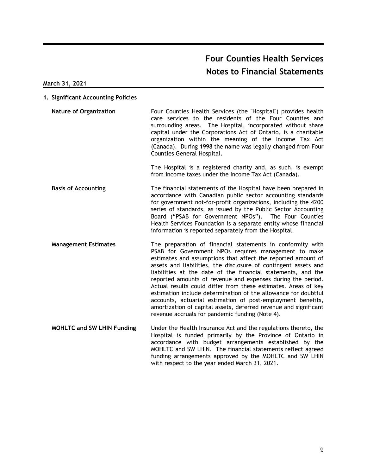### **March 31, 2021**

| 1. Significant Accounting Policies |                                                                                                                                                                                                                                                                                                                                                                                                                                                                                                                                                                                                                                                                                                                |
|------------------------------------|----------------------------------------------------------------------------------------------------------------------------------------------------------------------------------------------------------------------------------------------------------------------------------------------------------------------------------------------------------------------------------------------------------------------------------------------------------------------------------------------------------------------------------------------------------------------------------------------------------------------------------------------------------------------------------------------------------------|
| <b>Nature of Organization</b>      | Four Counties Health Services (the "Hospital") provides health<br>care services to the residents of the Four Counties and<br>surrounding areas. The Hospital, incorporated without share<br>capital under the Corporations Act of Ontario, is a charitable<br>organization within the meaning of the Income Tax Act<br>(Canada). During 1998 the name was legally changed from Four<br>Counties General Hospital.                                                                                                                                                                                                                                                                                              |
|                                    | The Hospital is a registered charity and, as such, is exempt<br>from income taxes under the Income Tax Act (Canada).                                                                                                                                                                                                                                                                                                                                                                                                                                                                                                                                                                                           |
| <b>Basis of Accounting</b>         | The financial statements of the Hospital have been prepared in<br>accordance with Canadian public sector accounting standards<br>for government not-for-profit organizations, including the 4200<br>series of standards, as issued by the Public Sector Accounting<br>Board ("PSAB for Government NPOs"). The Four Counties<br>Health Services Foundation is a separate entity whose financial<br>information is reported separately from the Hospital.                                                                                                                                                                                                                                                        |
| <b>Management Estimates</b>        | The preparation of financial statements in conformity with<br>PSAB for Government NPOs requires management to make<br>estimates and assumptions that affect the reported amount of<br>assets and liabilities, the disclosure of contingent assets and<br>liabilities at the date of the financial statements, and the<br>reported amounts of revenue and expenses during the period.<br>Actual results could differ from these estimates. Areas of key<br>estimation include determination of the allowance for doubtful<br>accounts, actuarial estimation of post-employment benefits,<br>amortization of capital assets, deferred revenue and significant<br>revenue accruals for pandemic funding (Note 4). |
| <b>MOHLTC and SW LHIN Funding</b>  | Under the Health Insurance Act and the regulations thereto, the<br>Hospital is funded primarily by the Province of Ontario in<br>accordance with budget arrangements established by the<br>MOHLTC and SW LHIN. The financial statements reflect agreed                                                                                                                                                                                                                                                                                                                                                                                                                                                         |

funding arrangements approved by the MOHLTC and SW LHIN

with respect to the year ended March 31, 2021.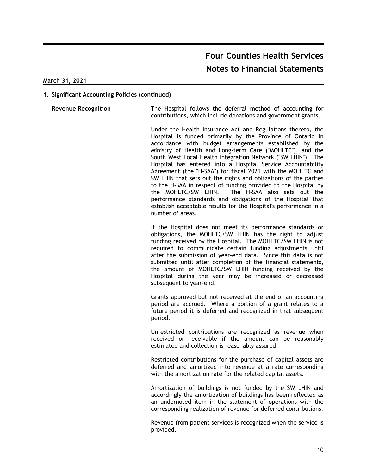### **March 31, 2021**

### **1. Significant Accounting Policies (continued)**

**Revenue Recognition** The Hospital follows the deferral method of accounting for contributions, which include donations and government grants.

> Under the Health Insurance Act and Regulations thereto, the Hospital is funded primarily by the Province of Ontario in accordance with budget arrangements established by the Ministry of Health and Long-term Care ("MOHLTC"), and the South West Local Health Integration Network ("SW LHIN"). The Hospital has entered into a Hospital Service Accountability Agreement (the "H-SAA") for fiscal 2021 with the MOHLTC and SW LHIN that sets out the rights and obligations of the parties to the H-SAA in respect of funding provided to the Hospital by the MOHLTC/SW LHIN. The H-SAA also sets out the performance standards and obligations of the Hospital that establish acceptable results for the Hospital's performance in a number of areas.

> If the Hospital does not meet its performance standards or obligations, the MOHLTC/SW LHIN has the right to adjust funding received by the Hospital. The MOHLTC/SW LHIN is not required to communicate certain funding adjustments until after the submission of year-end data. Since this data is not submitted until after completion of the financial statements, the amount of MOHLTC/SW LHIN funding received by the Hospital during the year may be increased or decreased subsequent to year-end.

> Grants approved but not received at the end of an accounting period are accrued. Where a portion of a grant relates to a future period it is deferred and recognized in that subsequent period.

> Unrestricted contributions are recognized as revenue when received or receivable if the amount can be reasonably estimated and collection is reasonably assured.

> Restricted contributions for the purchase of capital assets are deferred and amortized into revenue at a rate corresponding with the amortization rate for the related capital assets.

> Amortization of buildings is not funded by the SW LHIN and accordingly the amortization of buildings has been reflected as an undernoted item in the statement of operations with the corresponding realization of revenue for deferred contributions.

> Revenue from patient services is recognized when the service is provided.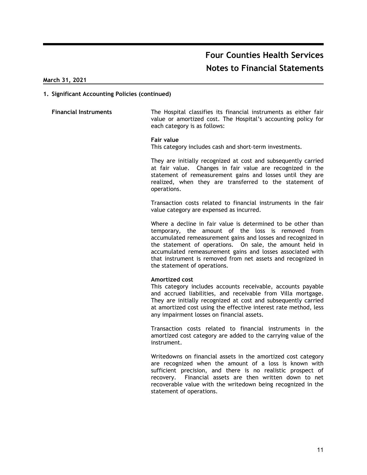**March 31, 2021**

### **1. Significant Accounting Policies (continued)**

**Financial Instruments** The Hospital classifies its financial instruments as either fair value or amortized cost. The Hospital's accounting policy for each category is as follows:

> **Fair value** This category includes cash and short-term investments.

They are initially recognized at cost and subsequently carried at fair value. Changes in fair value are recognized in the statement of remeasurement gains and losses until they are realized, when they are transferred to the statement of operations.

Transaction costs related to financial instruments in the fair value category are expensed as incurred.

Where a decline in fair value is determined to be other than temporary, the amount of the loss is removed from accumulated remeasurement gains and losses and recognized in the statement of operations. On sale, the amount held in accumulated remeasurement gains and losses associated with that instrument is removed from net assets and recognized in the statement of operations.

### **Amortized cost**

This category includes accounts receivable, accounts payable and accrued liabilities, and receivable from Villa mortgage. They are initially recognized at cost and subsequently carried at amortized cost using the effective interest rate method, less any impairment losses on financial assets.

Transaction costs related to financial instruments in the amortized cost category are added to the carrying value of the instrument.

Writedowns on financial assets in the amortized cost category are recognized when the amount of a loss is known with sufficient precision, and there is no realistic prospect of recovery. Financial assets are then written down to net recoverable value with the writedown being recognized in the statement of operations.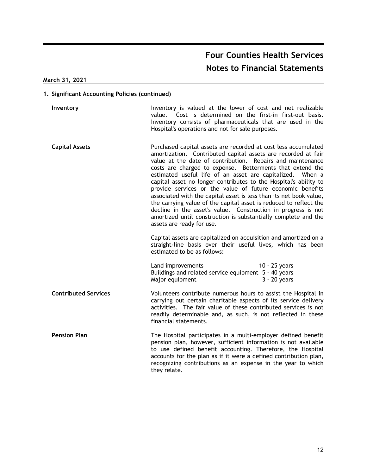### **March 31, 2021**

### **1. Significant Accounting Policies (continued)**

| Inventory                   | Inventory is valued at the lower of cost and net realizable<br>Cost is determined on the first-in first-out basis.<br>value.<br>Inventory consists of pharmaceuticals that are used in the<br>Hospital's operations and not for sale purposes.                                                                                                                                                                                                                                                                                                                                                                                                                                                                                                                      |
|-----------------------------|---------------------------------------------------------------------------------------------------------------------------------------------------------------------------------------------------------------------------------------------------------------------------------------------------------------------------------------------------------------------------------------------------------------------------------------------------------------------------------------------------------------------------------------------------------------------------------------------------------------------------------------------------------------------------------------------------------------------------------------------------------------------|
| <b>Capital Assets</b>       | Purchased capital assets are recorded at cost less accumulated<br>amortization. Contributed capital assets are recorded at fair<br>value at the date of contribution. Repairs and maintenance<br>costs are charged to expense. Betterments that extend the<br>estimated useful life of an asset are capitalized. When a<br>capital asset no longer contributes to the Hospital's ability to<br>provide services or the value of future economic benefits<br>associated with the capital asset is less than its net book value,<br>the carrying value of the capital asset is reduced to reflect the<br>decline in the asset's value. Construction in progress is not<br>amortized until construction is substantially complete and the<br>assets are ready for use. |
|                             | Capital assets are capitalized on acquisition and amortized on a<br>straight-line basis over their useful lives, which has been<br>estimated to be as follows:                                                                                                                                                                                                                                                                                                                                                                                                                                                                                                                                                                                                      |
|                             | 10 - 25 years<br>Land improvements<br>Buildings and related service equipment 5 - 40 years<br>3 - 20 years<br>Major equipment                                                                                                                                                                                                                                                                                                                                                                                                                                                                                                                                                                                                                                       |
| <b>Contributed Services</b> | Volunteers contribute numerous hours to assist the Hospital in<br>carrying out certain charitable aspects of its service delivery<br>activities. The fair value of these contributed services is not<br>readily determinable and, as such, is not reflected in these<br>financial statements.                                                                                                                                                                                                                                                                                                                                                                                                                                                                       |
| <b>Pension Plan</b>         | The Hospital participates in a multi-employer defined benefit<br>pension plan, however, sufficient information is not available<br>to use defined benefit accounting. Therefore, the Hospital<br>accounts for the plan as if it were a defined contribution plan,<br>recognizing contributions as an expense in the year to which<br>they relate.                                                                                                                                                                                                                                                                                                                                                                                                                   |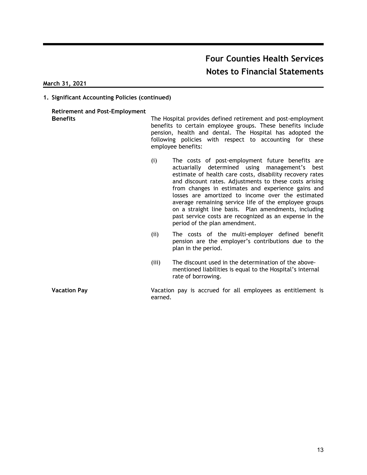**March 31, 2021**

### **1. Significant Accounting Policies (continued)**

| <b>Retirement and Post-Employment</b><br><b>Benefits</b> |         | The Hospital provides defined retirement and post-employment<br>benefits to certain employee groups. These benefits include<br>pension, health and dental. The Hospital has adopted the<br>following policies with respect to accounting for these<br>employee benefits:                                                                                                                                                                                                                                                                        |
|----------------------------------------------------------|---------|-------------------------------------------------------------------------------------------------------------------------------------------------------------------------------------------------------------------------------------------------------------------------------------------------------------------------------------------------------------------------------------------------------------------------------------------------------------------------------------------------------------------------------------------------|
|                                                          | (i)     | The costs of post-employment future benefits are<br>actuarially determined using management's best<br>estimate of health care costs, disability recovery rates<br>and discount rates. Adjustments to these costs arising<br>from changes in estimates and experience gains and<br>losses are amortized to income over the estimated<br>average remaining service life of the employee groups<br>on a straight line basis. Plan amendments, including<br>past service costs are recognized as an expense in the<br>period of the plan amendment. |
|                                                          | (ii)    | The costs of the multi-employer defined benefit<br>pension are the employer's contributions due to the<br>plan in the period.                                                                                                                                                                                                                                                                                                                                                                                                                   |
|                                                          | (iii)   | The discount used in the determination of the above-<br>mentioned liabilities is equal to the Hospital's internal<br>rate of borrowing.                                                                                                                                                                                                                                                                                                                                                                                                         |
| <b>Vacation Pay</b>                                      | earned. | Vacation pay is accrued for all employees as entitlement is                                                                                                                                                                                                                                                                                                                                                                                                                                                                                     |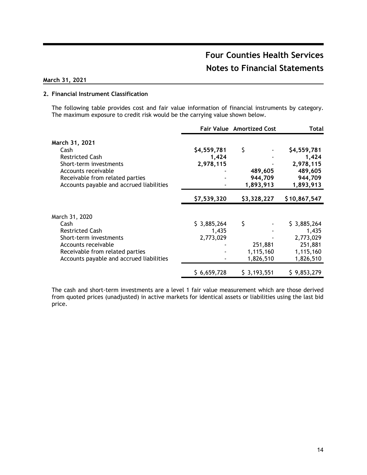### **March 31, 2021**

### **2. Financial Instrument Classification**

The following table provides cost and fair value information of financial instruments by category. The maximum exposure to credit risk would be the carrying value shown below.

|                                          |             | <b>Fair Value</b> Amortized Cost | Total        |
|------------------------------------------|-------------|----------------------------------|--------------|
| March 31, 2021                           |             |                                  |              |
| Cash                                     | \$4,559,781 | \$                               | \$4,559,781  |
| <b>Restricted Cash</b>                   | 1,424       |                                  | 1,424        |
| Short-term investments                   | 2,978,115   |                                  | 2,978,115    |
| Accounts receivable                      |             | 489,605                          | 489,605      |
| Receivable from related parties          |             | 944,709                          | 944,709      |
| Accounts payable and accrued liabilities |             | 1,893,913                        | 1,893,913    |
|                                          | \$7,539,320 | \$3,328,227                      | \$10,867,547 |
|                                          |             |                                  |              |
| March 31, 2020                           |             |                                  |              |
| Cash                                     | \$3,885,264 | \$                               | \$3,885,264  |
| <b>Restricted Cash</b>                   | 1,435       |                                  | 1,435        |
| Short-term investments                   | 2,773,029   |                                  | 2,773,029    |
| Accounts receivable                      |             | 251,881                          | 251,881      |
| Receivable from related parties          |             | 1,115,160                        | 1,115,160    |
| Accounts payable and accrued liabilities |             | 1,826,510                        | 1,826,510    |
|                                          | \$6,659,728 | \$3,193,551                      | \$9,853,279  |

The cash and short-term investments are a level 1 fair value measurement which are those derived from quoted prices (unadjusted) in active markets for identical assets or liabilities using the last bid price.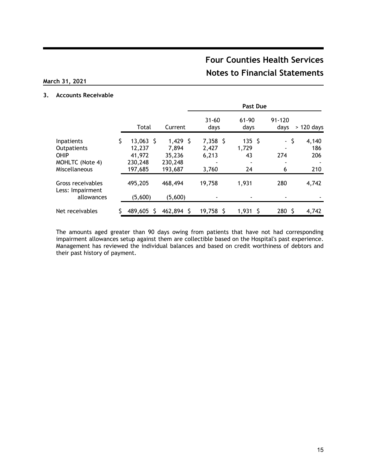### **March 31, 2021**

### **3. Accounts Receivable**

|                                       |                       |                     | <b>Past Due</b>     |                           |                    |              |
|---------------------------------------|-----------------------|---------------------|---------------------|---------------------------|--------------------|--------------|
|                                       | Total                 | Current             | $31 - 60$<br>days   | $61 - 90$<br>days         | $91 - 120$<br>days | $>120$ days  |
| Inpatients<br>Outpatients             | $13,063$ \$<br>12,237 | $1,429$ \$<br>7,894 | $7,358$ \$<br>2,427 | 135 <sup>5</sup><br>1,729 | - \$               | 4,140<br>186 |
| OHIP<br>MOHLTC (Note 4)               | 41,972<br>230,248     | 35,236<br>230,248   | 6,213               | 43                        | 274                | 206          |
| Miscellaneous                         | 197,685               | 193,687             | 3,760               | 24                        | 6                  | 210          |
| Gross receivables<br>Less: Impairment | 495,205               | 468,494             | 19,758              | 1,931                     | 280                | 4,742        |
| allowances                            | (5,600)               | (5,600)             |                     |                           |                    |              |
| Net receivables                       | 489,605               | 462,894             | 19,758 \$           | $1,931$ \$                | $280 \;$ \$        | 4,742        |

The amounts aged greater than 90 days owing from patients that have not had corresponding impairment allowances setup against them are collectible based on the Hospital's past experience. Management has reviewed the individual balances and based on credit worthiness of debtors and their past history of payment.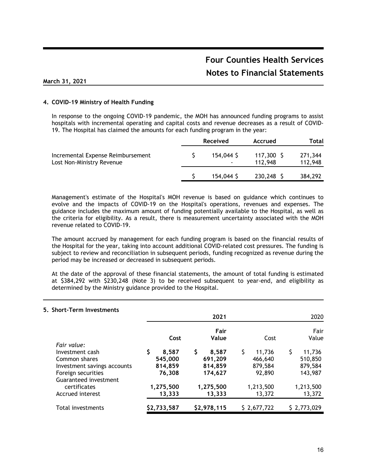### **4. COVID-19 Ministry of Health Funding**

In response to the ongoing COVID-19 pandemic, the MOH has announced funding programs to assist hospitals with incremental operating and capital costs and revenue decreases as a result of COVID-19. The Hospital has claimed the amounts for each funding program in the year:

|                                                                | <b>Received</b>                       | Accrued            | Total              |
|----------------------------------------------------------------|---------------------------------------|--------------------|--------------------|
| Incremental Expense Reimbursement<br>Lost Non-Ministry Revenue | 154,044 S<br>$\overline{\phantom{0}}$ | 117,300<br>112.948 | 271,344<br>112,948 |
|                                                                | 154,044 \$                            | 230,248            | 384,292            |

Management's estimate of the Hospital's MOH revenue is based on guidance which continues to evolve and the impacts of COVID-19 on the Hospital's operations, revenues and expenses. The guidance includes the maximum amount of funding potentially available to the Hospital, as well as the criteria for eligibility. As a result, there is measurement uncertainty associated with the MOH revenue related to COVID-19.

The amount accrued by management for each funding program is based on the financial results of the Hospital for the year, taking into account additional COVID-related cost pressures. The funding is subject to review and reconciliation in subsequent periods, funding recognized as revenue during the period may be increased or decreased in subsequent periods.

At the date of the approval of these financial statements, the amount of total funding is estimated at \$384,292 with \$230,248 (Note 3) to be received subsequent to year-end, and eligibility as determined by the Ministry guidance provided to the Hospital.

### **5. Short-Term Investments**

| בווסות וווווחס וווסווכ      |             | 2021          |              | 2020          |
|-----------------------------|-------------|---------------|--------------|---------------|
|                             |             | Fair<br>Value |              | Fair<br>Value |
| Fair value:                 | Cost        |               | Cost         |               |
| Investment cash             | 8,587       | S<br>8,587    | \$<br>11,736 | S<br>11,736   |
| Common shares               | 545,000     | 691,209       | 466,640      | 510,850       |
| Investment savings accounts | 814,859     | 814,859       | 879,584      | 879,584       |
| Foreign securities          | 76,308      | 174,627       | 92,890       | 143,987       |
| Guaranteed investment       |             |               |              |               |
| certificates                | 1,275,500   | 1,275,500     | 1,213,500    | 1,213,500     |
| Accrued interest            | 13,333      | 13,333        | 13,372       | 13,372        |
| Total investments           | \$2,733,587 | \$2,978,115   | \$2,677,722  | \$2,773,029   |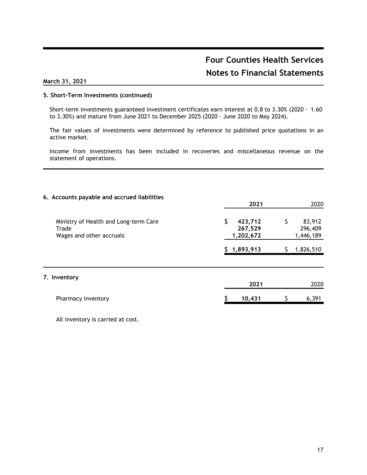### **March 31, 2021**

### **5. Short-Term Investments (continued)**

Short-term investments guaranteed investment certificates earn interest at 0.8 to 3.30% (2020 - 1.60 to 3.30%) and mature from June 2021 to December 2025 (2020 - June 2020 to May 2024).

The fair values of investments were determined by reference to published price quotations in an active market.

Income from investments has been included in recoveries and miscellaneous revenue on the statement of operations.

### **6. Accounts payable and accrued liabilities**

|                                                                            | 2021                                  |    | 2020                           |  |
|----------------------------------------------------------------------------|---------------------------------------|----|--------------------------------|--|
| Ministry of Health and Long-term Care<br>Trade<br>Wages and other accruals | \$<br>423,712<br>267,529<br>1,202,672 | \$ | 83,912<br>296,409<br>1,446,189 |  |
|                                                                            | \$1,893,913                           | S  | 1,826,510                      |  |
| 7. Inventory                                                               | 2021                                  |    | 2020                           |  |
| Pharmacy inventory                                                         | 10,431                                |    | 6,391                          |  |

All inventory is carried at cost.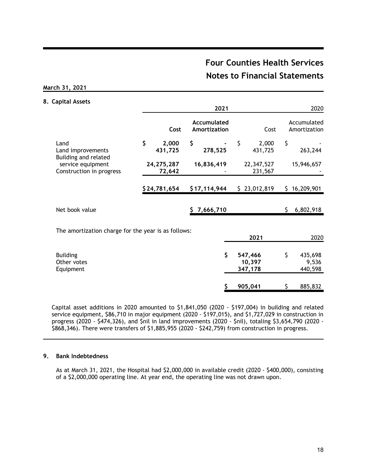### **March 31, 2021**

### **8. Capital Assets**

|                                                     |                        |                             | 2021 |                              |    | 2020                        |
|-----------------------------------------------------|------------------------|-----------------------------|------|------------------------------|----|-----------------------------|
|                                                     | Cost                   | Accumulated<br>Amortization |      | Cost                         |    | Accumulated<br>Amortization |
| Land<br>Land improvements<br>Building and related   | \$<br>2,000<br>431,725 | \$<br>278,525               |      | \$<br>2,000<br>431,725       | \$ | 263,244                     |
| service equipment<br>Construction in progress       | 24, 275, 287<br>72,642 | 16,836,419                  |      | 22,347,527<br>231,567        |    | 15,946,657                  |
|                                                     | \$24,781,654           | \$17,114,944                |      | \$23,012,819                 |    | \$16,209,901                |
| Net book value                                      |                        | 7,666,710<br>Ş.             |      |                              | Ş. | 6,802,918                   |
| The amortization charge for the year is as follows: |                        |                             |      | 2021                         |    | 2020                        |
| <b>Building</b><br>Other votes<br>Equipment         |                        |                             | \$   | 547,466<br>10,397<br>347,178 | \$ | 435,698<br>9,536<br>440,598 |
|                                                     |                        |                             |      | 905,041                      | S  | 885,832                     |

Capital asset additions in 2020 amounted to \$1,841,050 (2020 - \$197,004) in building and related service equipment, \$86,710 in major equipment (2020 - \$197,015), and \$1,727,029 in construction in progress (2020 - \$474,326), and \$nil in land improvements (2020 - \$nil), totaling \$3,654,790 (2020 - \$868,346). There were transfers of \$1,885,955 (2020 - \$242,759) from construction in progress.

### **9. Bank Indebtedness**

As at March 31, 2021, the Hospital had \$2,000,000 in available credit (2020 - \$400,000), consisting of a \$2,000,000 operating line. At year end, the operating line was not drawn upon.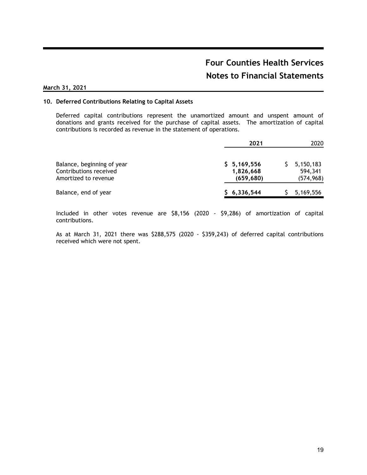### **March 31, 2021**

### **10. Deferred Contributions Relating to Capital Assets**

Deferred capital contributions represent the unamortized amount and unspent amount of donations and grants received for the purchase of capital assets. The amortization of capital contributions is recorded as revenue in the statement of operations.

|                                                                              | 2021                                   | 2020                               |
|------------------------------------------------------------------------------|----------------------------------------|------------------------------------|
| Balance, beginning of year<br>Contributions received<br>Amortized to revenue | \$5,169,556<br>1,826,668<br>(659, 680) | 5,150,183<br>594,341<br>(574, 968) |
| Balance, end of year                                                         | 6,336,544                              | 5,169,556                          |

Included in other votes revenue are \$8,156 (2020 - \$9,286) of amortization of capital contributions.

As at March 31, 2021 there was \$288,575 (2020 - \$359,243) of deferred capital contributions received which were not spent.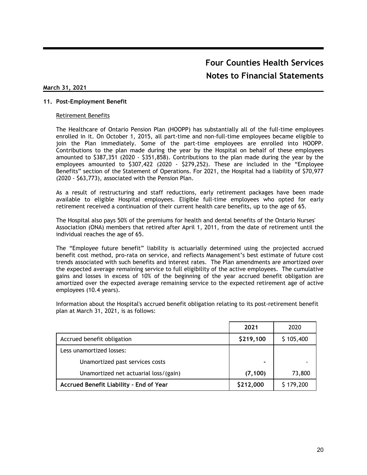### **11. Post-Employment Benefit**

### Retirement Benefits

The Healthcare of Ontario Pension Plan (HOOPP) has substantially all of the full-time employees enrolled in it. On October 1, 2015, all part-time and non-full-time employees became eligible to join the Plan immediately. Some of the part-time employees are enrolled into HOOPP. Contributions to the plan made during the year by the Hospital on behalf of these employees amounted to \$387,351 (2020 - \$351,858). Contributions to the plan made during the year by the employees amounted to \$307,422 (2020 - \$279,252). These are included in the "Employee Benefits" section of the Statement of Operations. For 2021, the Hospital had a liability of \$70,977 (2020 - \$63,773), associated with the Pension Plan.

As a result of restructuring and staff reductions, early retirement packages have been made available to eligible Hospital employees. Eligible full-time employees who opted for early retirement received a continuation of their current health care benefits, up to the age of 65.

The Hospital also pays 50% of the premiums for health and dental benefits of the Ontario Nurses' Association (ONA) members that retired after April 1, 2011, from the date of retirement until the individual reaches the age of 65.

The "Employee future benefit" liability is actuarially determined using the projected accrued benefit cost method, pro-rata on service, and reflects Management's best estimate of future cost trends associated with such benefits and interest rates. The Plan amendments are amortized over the expected average remaining service to full eligibility of the active employees. The cumulative gains and losses in excess of 10% of the beginning of the year accrued benefit obligation are amortized over the expected average remaining service to the expected retirement age of active employees (10.4 years).

Information about the Hospital's accrued benefit obligation relating to its post-retirement benefit plan at March 31, 2021, is as follows:

|                                         | 2021      | 2020      |
|-----------------------------------------|-----------|-----------|
| Accrued benefit obligation              | \$219,100 | \$105,400 |
| Less unamortized losses:                |           |           |
| Unamortized past services costs         |           |           |
| Unamortized net actuarial loss/(gain)   | (7, 100)  | 73,800    |
| Accrued Benefit Liability - End of Year | \$212,000 | \$179,200 |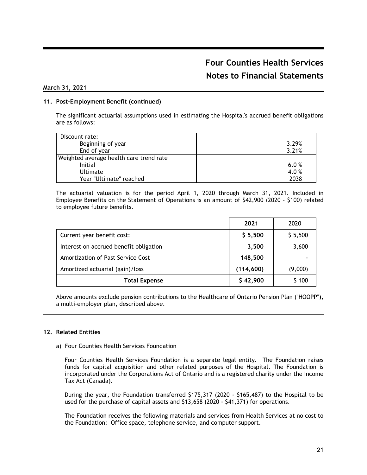### **March 31, 2021**

### **11. Post-Employment Benefit (continued)**

The significant actuarial assumptions used in estimating the Hospital's accrued benefit obligations are as follows:

| Discount rate:                          |       |
|-----------------------------------------|-------|
| Beginning of year                       | 3.29% |
| End of year                             | 3.21% |
| Weighted average health care trend rate |       |
| <b>Initial</b>                          | 6.0%  |
| Ultimate                                | 4.0%  |
| Year "Ultimate" reached                 | 2038  |

The actuarial valuation is for the period April 1, 2020 through March 31, 2021. Included in Employee Benefits on the Statement of Operations is an amount of \$42,900 (2020 - \$100) related to employee future benefits.

|                                        | 2021       | 2020    |
|----------------------------------------|------------|---------|
| Current year benefit cost:             | \$5,500    | \$5,500 |
| Interest on accrued benefit obligation | 3,500      | 3,600   |
| Amortization of Past Service Cost      | 148,500    |         |
| Amortized actuarial (gain)/loss        | (114, 600) | (9,000) |
| <b>Total Expense</b>                   | \$42,900   | \$100   |

Above amounts exclude pension contributions to the Healthcare of Ontario Pension Plan ("HOOPP"), a multi-employer plan, described above.

### **12. Related Entities**

### a) Four Counties Health Services Foundation

Four Counties Health Services Foundation is a separate legal entity. The Foundation raises funds for capital acquisition and other related purposes of the Hospital. The Foundation is incorporated under the Corporations Act of Ontario and is a registered charity under the Income Tax Act (Canada).

During the year, the Foundation transferred \$175,317 (2020 - \$165,487) to the Hospital to be used for the purchase of capital assets and \$13,658 (2020 - \$41,371) for operations.

The Foundation receives the following materials and services from Health Services at no cost to the Foundation: Office space, telephone service, and computer support.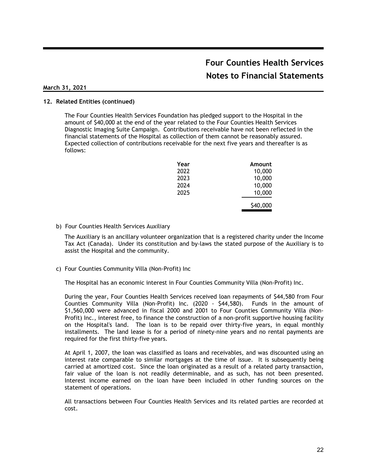### **12. Related Entities (continued)**

The Four Counties Health Services Foundation has pledged support to the Hospital in the amount of \$40,000 at the end of the year related to the Four Counties Health Services Diagnostic Imaging Suite Campaign. Contributions receivable have not been reflected in the financial statements of the Hospital as collection of them cannot be reasonably assured. Expected collection of contributions receivable for the next five years and thereafter is as follows:

| Year | Amount   |
|------|----------|
| 2022 | 10,000   |
| 2023 | 10,000   |
| 2024 | 10,000   |
| 2025 | 10,000   |
|      | \$40,000 |

### b) Four Counties Health Services Auxiliary

The Auxiliary is an ancillary volunteer organization that is a registered charity under the Income Tax Act (Canada). Under its constitution and by-laws the stated purpose of the Auxiliary is to assist the Hospital and the community.

c) Four Counties Community Villa (Non-Profit) Inc

The Hospital has an economic interest in Four Counties Community Villa (Non-Profit) Inc.

During the year, Four Counties Health Services received loan repayments of \$44,580 from Four Counties Community Villa (Non-Profit) Inc. (2020 - \$44,580). Funds in the amount of \$1,560,000 were advanced in fiscal 2000 and 2001 to Four Counties Community Villa (Non-Profit) Inc., interest free, to finance the construction of a non-profit supportive housing facility on the Hospital's land. The loan is to be repaid over thirty-five years, in equal monthly installments. The land lease is for a period of ninety-nine years and no rental payments are required for the first thirty-five years.

At April 1, 2007, the loan was classified as loans and receivables, and was discounted using an interest rate comparable to similar mortgages at the time of issue. It is subsequently being carried at amortized cost. Since the loan originated as a result of a related party transaction, fair value of the loan is not readily determinable, and as such, has not been presented. Interest income earned on the loan have been included in other funding sources on the statement of operations.

All transactions between Four Counties Health Services and its related parties are recorded at cost.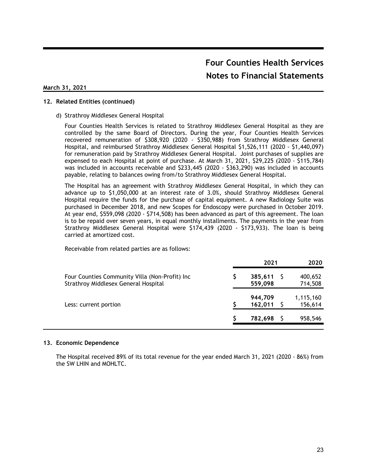### **12. Related Entities (continued)**

d) Strathroy Middlesex General Hospital

Four Counties Health Services is related to Strathroy Middlesex General Hospital as they are controlled by the same Board of Directors. During the year, Four Counties Health Services recovered remuneration of \$308,920 (2020 - \$350,988) from Strathroy Middlesex General Hospital, and reimbursed Strathroy Middlesex General Hospital \$1,526,111 (2020 - \$1,440,097) for remuneration paid by Strathroy Middlesex General Hospital. Joint purchases of supplies are expensed to each Hospital at point of purchase. At March 31, 2021, \$29,225 (2020 - \$115,784) was included in accounts receivable and \$233,445 (2020 - \$363,290) was included in accounts payable, relating to balances owing from/to Strathroy Middlesex General Hospital.

The Hospital has an agreement with Strathroy Middlesex General Hospital, in which they can advance up to \$1,050,000 at an interest rate of 3.0%, should Strathroy Middlesex General Hospital require the funds for the purchase of capital equipment. A new Radiology Suite was purchased in December 2018, and new Scopes for Endoscopy were purchased in October 2019. At year end, \$559,098 (2020 - \$714,508) has been advanced as part of this agreement. The loan is to be repaid over seven years, in equal monthly installments. The payments in the year from Strathroy Middlesex General Hospital were \$174,439 (2020 - \$173,933). The loan is being carried at amortized cost.

Receivable from related parties are as follows:

|                                                                                        | 2021               | 2020                 |  |
|----------------------------------------------------------------------------------------|--------------------|----------------------|--|
| Four Counties Community Villa (Non-Profit) Inc<br>Strathroy Middlesex General Hospital | 385,611<br>559,098 | 400,652<br>714,508   |  |
| Less: current portion                                                                  | 944,709<br>162,011 | 1,115,160<br>156,614 |  |
|                                                                                        | 782,698            | 958,546              |  |
|                                                                                        |                    |                      |  |

### **13. Economic Dependence**

The Hospital received 89% of its total revenue for the year ended March 31, 2021 (2020 - 86%) from the SW LHIN and MOHLTC.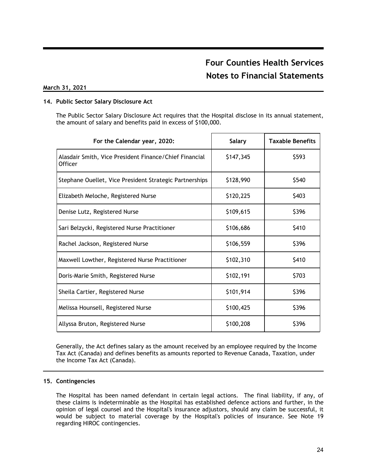### **March 31, 2021**

### **14. Public Sector Salary Disclosure Act**

The Public Sector Salary Disclosure Act requires that the Hospital disclose in its annual statement, the amount of salary and benefits paid in excess of \$100,000.

| For the Calendar year, 2020:                                             | <b>Salary</b> | <b>Taxable Benefits</b> |
|--------------------------------------------------------------------------|---------------|-------------------------|
| Alasdair Smith, Vice President Finance/Chief Financial<br><b>Officer</b> | \$147,345     | \$593                   |
| Stephane Ouellet, Vice President Strategic Partnerships                  | \$128,990     | \$540                   |
| Elizabeth Meloche, Registered Nurse                                      | \$120,225     | \$403                   |
| Denise Lutz, Registered Nurse                                            | \$109,615     | \$396                   |
| Sari Belzycki, Registered Nurse Practitioner                             | \$106,686     | \$410                   |
| Rachel Jackson, Registered Nurse                                         | \$106,559     | \$396                   |
| Maxwell Lowther, Registered Nurse Practitioner                           | \$102,310     | \$410                   |
| Doris-Marie Smith, Registered Nurse                                      | \$102,191     | \$703                   |
| Sheila Cartier, Registered Nurse                                         | \$101,914     | \$396                   |
| Melissa Hounsell, Registered Nurse                                       | \$100,425     | \$396                   |
| Allyssa Bruton, Registered Nurse                                         | \$100,208     | \$396                   |

Generally, the Act defines salary as the amount received by an employee required by the Income Tax Act (Canada) and defines benefits as amounts reported to Revenue Canada, Taxation, under the Income Tax Act (Canada).

### **15. Contingencies**

The Hospital has been named defendant in certain legal actions. The final liability, if any, of these claims is indeterminable as the Hospital has established defence actions and further, in the opinion of legal counsel and the Hospital's insurance adjustors, should any claim be successful, it would be subject to material coverage by the Hospital's policies of insurance. See Note 19 regarding HIROC contingencies.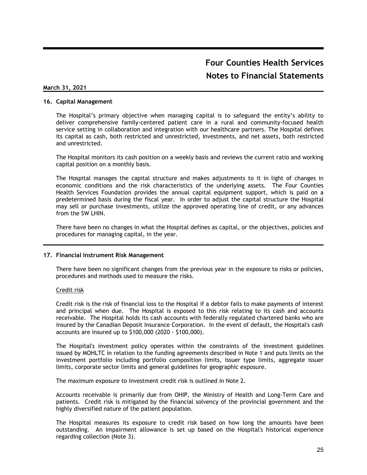### **16. Capital Management**

The Hospital's primary objective when managing capital is to safeguard the entity's ability to deliver comprehensive family-centered patient care in a rural and community-focused health service setting in collaboration and integration with our healthcare partners. The Hospital defines its capital as cash, both restricted and unrestricted, investments, and net assets, both restricted and unrestricted.

The Hospital monitors its cash position on a weekly basis and reviews the current ratio and working capital position on a monthly basis.

The Hospital manages the capital structure and makes adjustments to it in light of changes in economic conditions and the risk characteristics of the underlying assets. The Four Counties Health Services Foundation provides the annual capital equipment support, which is paid on a predetermined basis during the fiscal year. In order to adjust the capital structure the Hospital may sell or purchase investments, utilize the approved operating line of credit, or any advances from the SW LHIN.

There have been no changes in what the Hospital defines as capital, or the objectives, policies and procedures for managing capital, in the year.

### **17. Financial Instrument Risk Management**

There have been no significant changes from the previous year in the exposure to risks or policies, procedures and methods used to measure the risks.

### Credit risk

Credit risk is the risk of financial loss to the Hospital if a debtor fails to make payments of interest and principal when due. The Hospital is exposed to this risk relating to its cash and accounts receivable. The Hospital holds its cash accounts with federally regulated chartered banks who are insured by the Canadian Deposit Insurance Corporation. In the event of default, the Hospital's cash accounts are insured up to \$100,000 (2020 - \$100,000).

The Hospital's investment policy operates within the constraints of the investment guidelines issued by MOHLTC in relation to the funding agreements described in Note 1 and puts limits on the investment portfolio including portfolio composition limits, issuer type limits, aggregate issuer limits, corporate sector limits and general guidelines for geographic exposure.

The maximum exposure to investment credit risk is outlined in Note 2.

Accounts receivable is primarily due from OHIP, the Ministry of Health and Long-Term Care and patients. Credit risk is mitigated by the financial solvency of the provincial government and the highly diversified nature of the patient population.

The Hospital measures its exposure to credit risk based on how long the amounts have been outstanding. An impairment allowance is set up based on the Hospital's historical experience regarding collection (Note 3).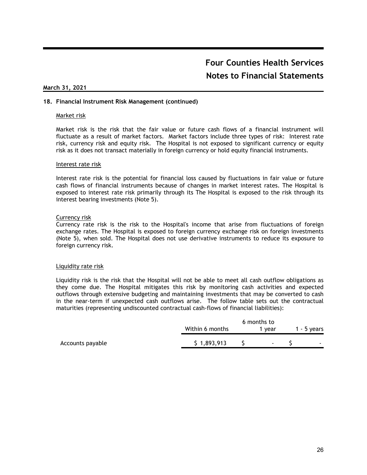### **18. Financial Instrument Risk Management (continued)**

### Market risk

Market risk is the risk that the fair value or future cash flows of a financial instrument will fluctuate as a result of market factors. Market factors include three types of risk: Interest rate risk, currency risk and equity risk. The Hospital is not exposed to significant currency or equity risk as it does not transact materially in foreign currency or hold equity financial instruments.

### Interest rate risk

Interest rate risk is the potential for financial loss caused by fluctuations in fair value or future cash flows of financial instruments because of changes in market interest rates. The Hospital is exposed to interest rate risk primarily through its The Hospital is exposed to the risk through its interest bearing investments (Note 5).

### Currency risk

Currency rate risk is the risk to the Hospital's income that arise from fluctuations of foreign exchange rates. The Hospital is exposed to foreign currency exchange risk on foreign investments (Note 5), when sold. The Hospital does not use derivative instruments to reduce its exposure to foreign currency risk.

### Liquidity rate risk

Liquidity risk is the risk that the Hospital will not be able to meet all cash outflow obligations as they come due. The Hospital mitigates this risk by monitoring cash activities and expected outflows through extensive budgeting and maintaining investments that may be converted to cash in the near-term if unexpected cash outflows arise. The follow table sets out the contractual maturities (representing undiscounted contractual cash-flows of financial liabilities):

|                  | 6 months to     |  |                |  |             |
|------------------|-----------------|--|----------------|--|-------------|
|                  | Within 6 months |  | 1 vear         |  | 1 - 5 years |
| Accounts payable | \$1,893,913     |  | $\blacksquare$ |  |             |
|                  |                 |  |                |  |             |